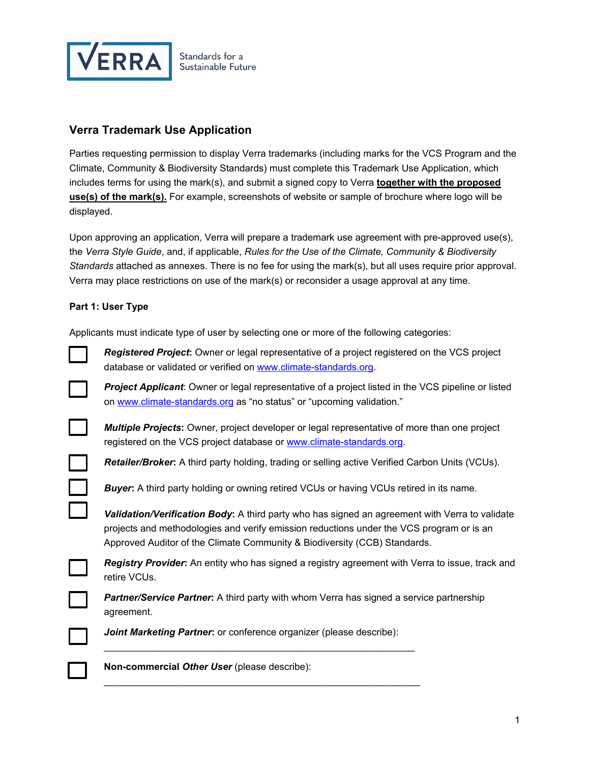

## **Verra Trademark Use Application**

Parties requesting permission to display Verra trademarks (including marks for the VCS Program and the Climate, Community & Biodiversity Standards) must complete this Trademark Use Application, which includes terms for using the mark(s), and submit a signed copy to Verra **together with the proposed use(s) of the mark(s).** For example, screenshots of website or sample of brochure where logo will be displayed.

Upon approving an application, Verra will prepare a trademark use agreement with pre-approved use(s), the *Verra Style Guide*, and, if applicable, *Rules for the Use of the Climate, Community & Biodiversity Standards* attached as annexes. There is no fee for using the mark(s), but all uses require prior approval. Verra may place restrictions on use of the mark(s) or reconsider a usage approval at any time.

## **Part 1: User Type**

Applicants must indicate type of user by selecting one or more of the following categories:



*Registered Project***:** Owner or legal representative of a project registered on the VCS project database or validated or verified on [www.climate-standards.org.](http://www.climate-standards.org/)

*Project Applicant*: Owner or legal representative of a project listed in the VCS pipeline or listed on [www.climate-standards.org](http://www.climate-standards.org/) as "no status" or "upcoming validation."



*Multiple Projects***:** Owner, project developer or legal representative of more than one project registered on the VCS project database or [www.climate-standards.org.](http://www.climate-standards.org/)

*Retailer/Broker***:** A third party holding, trading or selling active Verified Carbon Units (VCUs).

*Buyer***:** A third party holding or owning retired VCUs or having VCUs retired in its name.

*Validation/Verification Body***:** A third party who has signed an agreement with Verra to validate projects and methodologies and verify emission reductions under the VCS program or is an Approved Auditor of the Climate Community & Biodiversity (CCB) Standards.

*Registry Provider***:** An entity who has signed a registry agreement with Verra to issue, track and retire VCUs.

**Partner/Service Partner:** A third party with whom Verra has signed a service partnership agreement.

**Joint Marketing Partner:** or conference organizer (please describe):

\_\_\_\_\_\_\_\_\_\_\_\_\_\_\_\_\_\_\_\_\_\_\_\_\_\_\_\_\_\_\_\_\_\_\_\_\_\_\_\_\_\_\_\_\_\_\_\_\_\_\_\_\_\_\_\_\_\_

\_\_\_\_\_\_\_\_\_\_\_\_\_\_\_\_\_\_\_\_\_\_\_\_\_\_\_\_\_\_\_\_\_\_\_\_\_\_\_\_\_\_\_\_\_\_\_\_\_\_\_\_\_\_\_\_\_\_\_



**Non-commercial** *Other User* (please describe):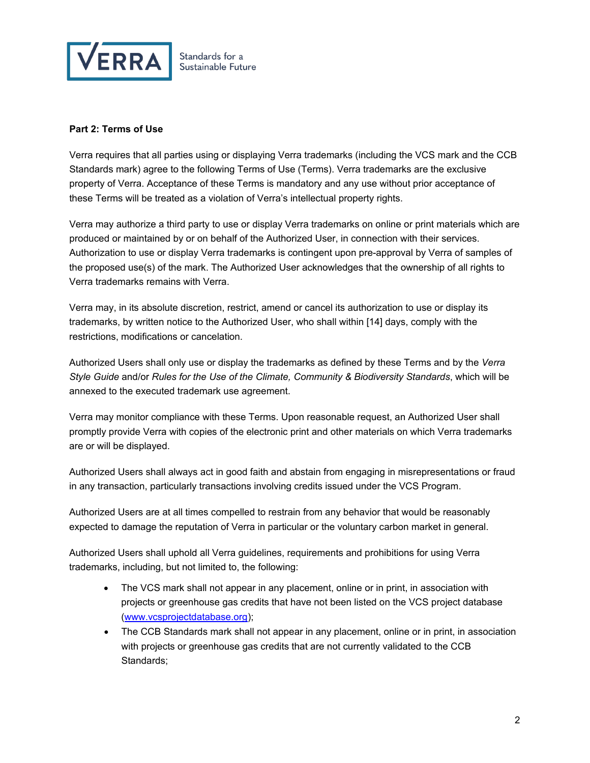

## **Part 2: Terms of Use**

Verra requires that all parties using or displaying Verra trademarks (including the VCS mark and the CCB Standards mark) agree to the following Terms of Use (Terms). Verra trademarks are the exclusive property of Verra. Acceptance of these Terms is mandatory and any use without prior acceptance of these Terms will be treated as a violation of Verra's intellectual property rights.

Verra may authorize a third party to use or display Verra trademarks on online or print materials which are produced or maintained by or on behalf of the Authorized User, in connection with their services. Authorization to use or display Verra trademarks is contingent upon pre-approval by Verra of samples of the proposed use(s) of the mark. The Authorized User acknowledges that the ownership of all rights to Verra trademarks remains with Verra.

Verra may, in its absolute discretion, restrict, amend or cancel its authorization to use or display its trademarks, by written notice to the Authorized User, who shall within [14] days, comply with the restrictions, modifications or cancelation.

Authorized Users shall only use or display the trademarks as defined by these Terms and by the *Verra Style Guide* and/or *Rules for the Use of the Climate, Community & Biodiversity Standards*, which will be annexed to the executed trademark use agreement.

Verra may monitor compliance with these Terms. Upon reasonable request, an Authorized User shall promptly provide Verra with copies of the electronic print and other materials on which Verra trademarks are or will be displayed.

Authorized Users shall always act in good faith and abstain from engaging in misrepresentations or fraud in any transaction, particularly transactions involving credits issued under the VCS Program.

Authorized Users are at all times compelled to restrain from any behavior that would be reasonably expected to damage the reputation of Verra in particular or the voluntary carbon market in general.

Authorized Users shall uphold all Verra guidelines, requirements and prohibitions for using Verra trademarks, including, but not limited to, the following:

- The VCS mark shall not appear in any placement, online or in print, in association with projects or greenhouse gas credits that have not been listed on the VCS project database [\(www.vcsprojectdatabase.org\)](http://www.vcsprojectdatabase.org/);
- The CCB Standards mark shall not appear in any placement, online or in print, in association with projects or greenhouse gas credits that are not currently validated to the CCB Standards;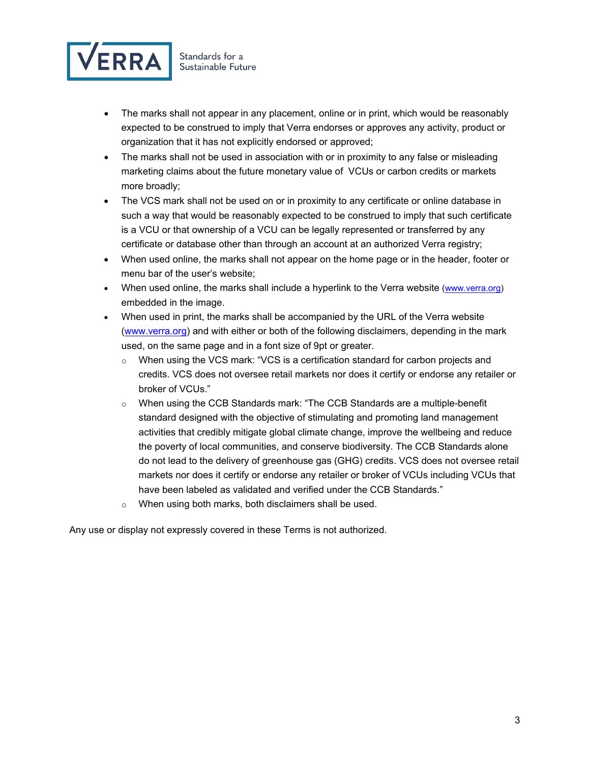

- The marks shall not appear in any placement, online or in print, which would be reasonably expected to be construed to imply that Verra endorses or approves any activity, product or organization that it has not explicitly endorsed or approved;
- The marks shall not be used in association with or in proximity to any false or misleading marketing claims about the future monetary value of VCUs or carbon credits or markets more broadly;
- The VCS mark shall not be used on or in proximity to any certificate or online database in such a way that would be reasonably expected to be construed to imply that such certificate is a VCU or that ownership of a VCU can be legally represented or transferred by any certificate or database other than through an account at an authorized Verra registry;
- When used online, the marks shall not appear on the home page or in the header, footer or menu bar of the user's website;
- When used online, the marks shall include a hyperlink to the Verra website [\(www.verra.org\)](http://www.verra.org/) embedded in the image.
- When used in print, the marks shall be accompanied by the URL of the Verra website [\(www.verra.org\)](http://www.verra.org/) and with either or both of the following disclaimers, depending in the mark used, on the same page and in a font size of 9pt or greater.
	- o When using the VCS mark: "VCS is a certification standard for carbon projects and credits. VCS does not oversee retail markets nor does it certify or endorse any retailer or broker of VCUs."
	- o When using the CCB Standards mark: "The CCB Standards are a multiple-benefit standard designed with the objective of stimulating and promoting land management activities that credibly mitigate global climate change, improve the wellbeing and reduce the poverty of local communities, and conserve biodiversity. The CCB Standards alone do not lead to the delivery of greenhouse gas (GHG) credits. VCS does not oversee retail markets nor does it certify or endorse any retailer or broker of VCUs including VCUs that have been labeled as validated and verified under the CCB Standards."
	- o When using both marks, both disclaimers shall be used.

Any use or display not expressly covered in these Terms is not authorized.